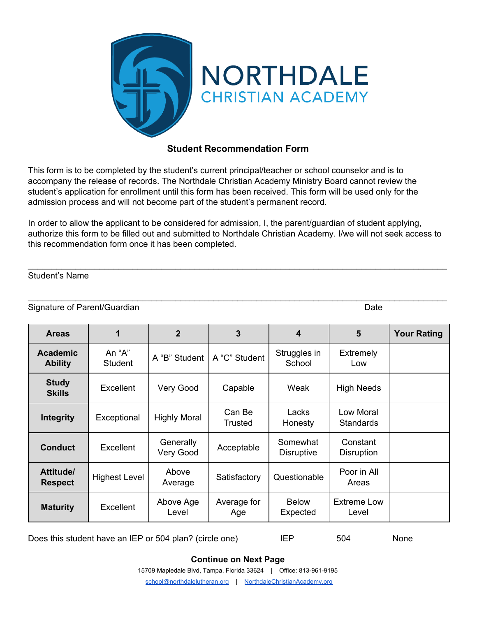

## **Student Recommendation Form**

This form is to be completed by the student's current principal/teacher or school counselor and is to accompany the release of records. The Northdale Christian Academy Ministry Board cannot review the student's application for enrollment until this form has been received. This form will be used only for the admission process and will not become part of the student's permanent record.

In order to allow the applicant to be considered for admission, I, the parent/guardian of student applying, authorize this form to be filled out and submitted to Northdale Christian Academy. I/we will not seek access to this recommendation form once it has been completed.

\_\_\_\_\_\_\_\_\_\_\_\_\_\_\_\_\_\_\_\_\_\_\_\_\_\_\_\_\_\_\_\_\_\_\_\_\_\_\_\_\_\_\_\_\_\_\_\_\_\_\_\_\_\_\_\_\_\_\_\_\_\_\_\_\_\_\_\_\_\_\_\_\_\_\_\_\_\_\_\_\_\_\_\_\_\_\_\_

\_\_\_\_\_\_\_\_\_\_\_\_\_\_\_\_\_\_\_\_\_\_\_\_\_\_\_\_\_\_\_\_\_\_\_\_\_\_\_\_\_\_\_\_\_\_\_\_\_\_\_\_\_\_\_\_\_\_\_\_\_\_\_\_\_\_\_\_\_\_\_\_\_\_\_\_\_\_\_\_\_\_\_\_\_\_\_\_

## Student's Name

Signature of Parent/Guardian Date Controller and Date Date Date Date Date

| <b>Areas</b>                      | 1                    | $\mathbf{2}$           | 3                  | 4                             | 5                             | <b>Your Rating</b> |
|-----------------------------------|----------------------|------------------------|--------------------|-------------------------------|-------------------------------|--------------------|
| <b>Academic</b><br><b>Ability</b> | An "A"<br>Student    | A "B" Student          | A "C" Student      | Struggles in<br>School        | <b>Extremely</b><br>Low       |                    |
| <b>Study</b><br><b>Skills</b>     | <b>Excellent</b>     | Very Good              | Capable            | Weak                          | <b>High Needs</b>             |                    |
| <b>Integrity</b>                  | Exceptional          | <b>Highly Moral</b>    | Can Be<br>Trusted  | Lacks<br>Honesty              | Low Moral<br><b>Standards</b> |                    |
| <b>Conduct</b>                    | <b>Excellent</b>     | Generally<br>Very Good | Acceptable         | Somewhat<br><b>Disruptive</b> | Constant<br>Disruption        |                    |
| Attitude/<br><b>Respect</b>       | <b>Highest Level</b> | Above<br>Average       | Satisfactory       | Questionable                  | Poor in All<br>Areas          |                    |
| <b>Maturity</b>                   | <b>Excellent</b>     | Above Age<br>Level     | Average for<br>Age | <b>Below</b><br>Expected      | Extreme Low<br>Level          |                    |

Does this student have an IEP or 504 plan? (circle one) IEP 504 None